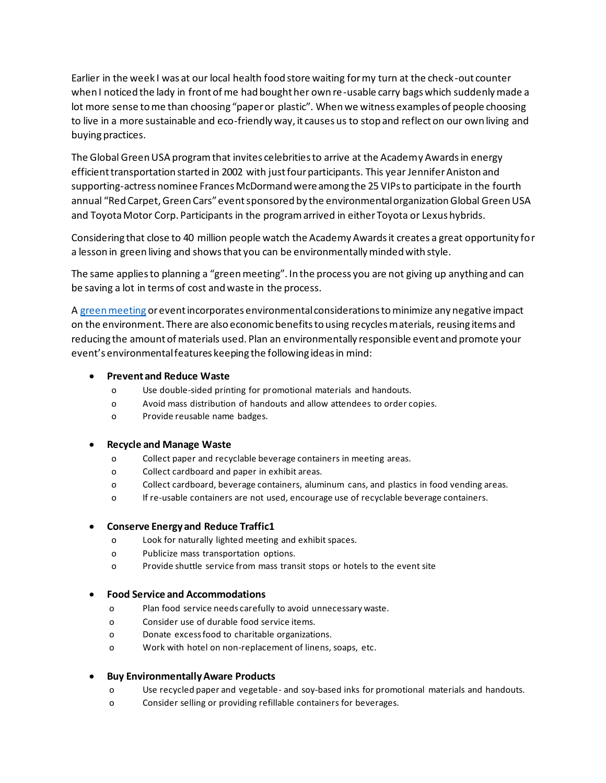Earlier in the week I was at our local health food store waiting for my turn at the check-out counter when I noticed the lady in front of me had bought her own re-usable carry bags which suddenly made a lot more sense to me than choosing "paper or plastic". When we witness examples of people choosing to live in a more sustainable and eco-friendly way, it causes us to stop and reflect on our own living and buying practices.

The Global Green USA program that invites celebrities to arrive at the Academy Awards in energy efficient transportation started in 2002 with just four participants. This year Jennifer Aniston and supporting-actress nominee Frances McDormand were among the 25 VIPs to participate in the fourth annual "Red Carpet, Green Cars" event sponsored by the environmental organization Global Green USA and Toyota Motor Corp. Participants in the program arrived in either Toyota or Lexus hybrids.

Considering that close to 40 million people watch the Academy Awards it creates a great opportunity for a lesson in green living and shows that you can be environmentally minded with style.

The same applies to planning a "green meeting". In the process you are not giving up anything and can be saving a lot in terms of cost and waste in the process.

A [green meeting](https://keynoteresource.com/glossary-of-meeting-planner-jargon/) or event incorporates environmental considerations to minimize any negative impact on the environment. There are also economic benefits to using recycles materials, reusing items and reducing the amount of materials used. Plan an environmentally responsible event and promote your event's environmental features keeping the following ideas in mind:

### • **Prevent and Reduce Waste**

- o Use double-sided printing for promotional materials and handouts.
- o Avoid mass distribution of handouts and allow attendees to order copies.
- o Provide reusable name badges.

#### • **Recycle and Manage Waste**

- o Collect paper and recyclable beverage containers in meeting areas.
- o Collect cardboard and paper in exhibit areas.
- o Collect cardboard, beverage containers, aluminum cans, and plastics in food vending areas.
- o If re-usable containers are not used, encourage use of recyclable beverage containers.

## • **Conserve Energy and Reduce Traffic1**

- o Look for naturally lighted meeting and exhibit spaces.
- o Publicize mass transportation options.
- o Provide shuttle service from mass transit stops or hotels to the event site

#### • **Food Service and Accommodations**

- o Plan food service needs carefully to avoid unnecessary waste.
- o Consider use of durable food service items.
- o Donate excess food to charitable organizations.
- o Work with hotel on non-replacement of linens, soaps, etc.

## • **Buy Environmentally Aware Products**

- o Use recycled paper and vegetable- and soy-based inks for promotional materials and handouts.
- o Consider selling or providing refillable containers for beverages.